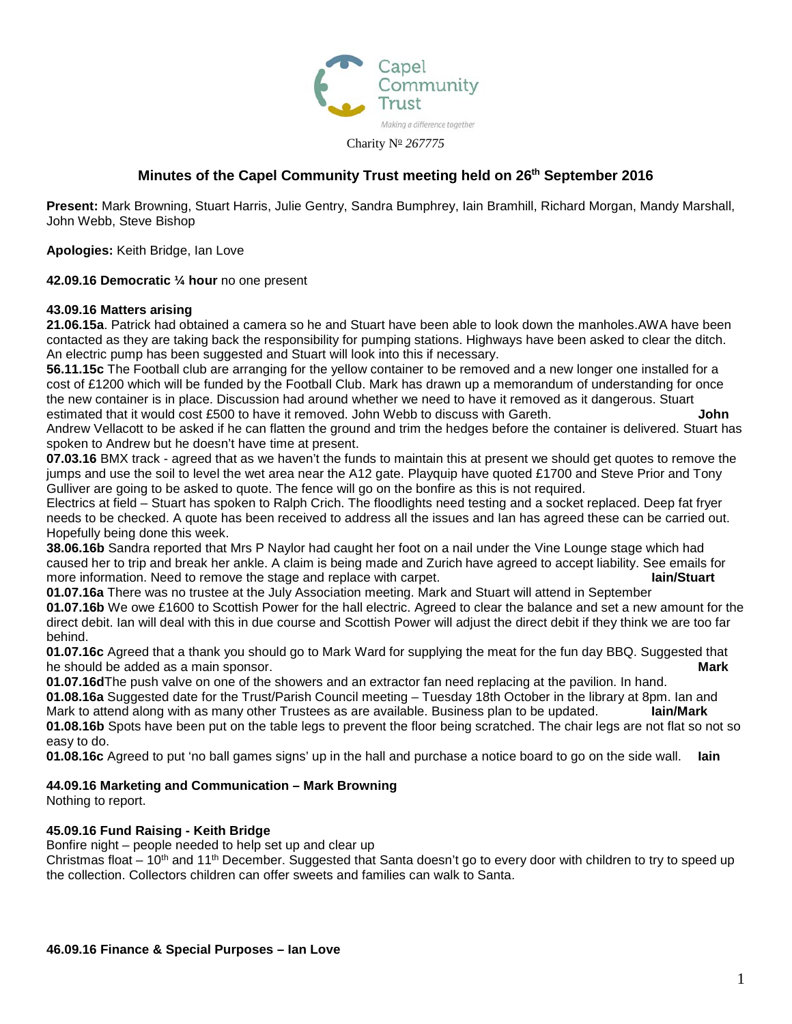

# **Minutes of the Capel Community Trust meeting held on 26th September 2016**

**Present:** Mark Browning, Stuart Harris, Julie Gentry, Sandra Bumphrey, Iain Bramhill, Richard Morgan, Mandy Marshall, John Webb, Steve Bishop

**Apologies:** Keith Bridge, Ian Love

**42.09.16 Democratic ¼ hour** no one present

### **43.09.16 Matters arising**

**21.06.15a**. Patrick had obtained a camera so he and Stuart have been able to look down the manholes.AWA have been contacted as they are taking back the responsibility for pumping stations. Highways have been asked to clear the ditch. An electric pump has been suggested and Stuart will look into this if necessary.

**56.11.15c** The Football club are arranging for the yellow container to be removed and a new longer one installed for a cost of £1200 which will be funded by the Football Club. Mark has drawn up a memorandum of understanding for once the new container is in place. Discussion had around whether we need to have it removed as it dangerous. Stuart estimated that it would cost £500 to have it removed. John Webb to discuss with Gareth. **John**

Andrew Vellacott to be asked if he can flatten the ground and trim the hedges before the container is delivered. Stuart has spoken to Andrew but he doesn't have time at present.

**07.03.16** BMX track - agreed that as we haven't the funds to maintain this at present we should get quotes to remove the jumps and use the soil to level the wet area near the A12 gate. Playquip have quoted £1700 and Steve Prior and Tony Gulliver are going to be asked to quote. The fence will go on the bonfire as this is not required.

Electrics at field – Stuart has spoken to Ralph Crich. The floodlights need testing and a socket replaced. Deep fat fryer needs to be checked. A quote has been received to address all the issues and Ian has agreed these can be carried out. Hopefully being done this week.

**38.06.16b** Sandra reported that Mrs P Naylor had caught her foot on a nail under the Vine Lounge stage which had caused her to trip and break her ankle. A claim is being made and Zurich have agreed to accept liability. See emails for<br>**lain/Stuart** more information. Need to remove the stage and replace with carpet.

**01.07.16a** There was no trustee at the July Association meeting. Mark and Stuart will attend in September **01.07.16b** We owe £1600 to Scottish Power for the hall electric. Agreed to clear the balance and set a new amount for the direct debit. Ian will deal with this in due course and Scottish Power will adjust the direct debit if they think we are too far behind.

**01.07.16c** Agreed that a thank you should go to Mark Ward for supplying the meat for the fun day BBQ. Suggested that he should be added as a main sponsor. **Mark**

**01.07.16d**The push valve on one of the showers and an extractor fan need replacing at the pavilion. In hand. **01.08.16a** Suggested date for the Trust/Parish Council meeting – Tuesday 18th October in the library at 8pm. Ian and Mark to attend along with as many other Trustees as are available. Business plan to be updated.

**01.08.16b** Spots have been put on the table legs to prevent the floor being scratched. The chair legs are not flat so not so easy to do.

**01.08.16c** Agreed to put 'no ball games signs' up in the hall and purchase a notice board to go on the side wall. **Iain**

## **44.09.16 Marketing and Communication – Mark Browning**

Nothing to report.

#### **45.09.16 Fund Raising - Keith Bridge**

Bonfire night – people needed to help set up and clear up

Christmas float – 10<sup>th</sup> and 11<sup>th</sup> December. Suggested that Santa doesn't go to every door with children to try to speed up the collection. Collectors children can offer sweets and families can walk to Santa.